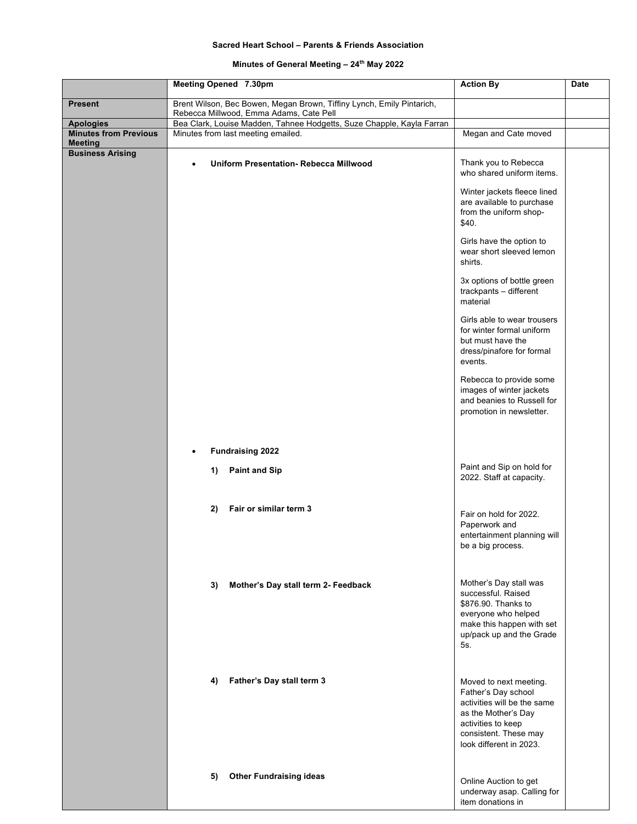## **Sacred Heart School – Parents & Friends Association**

## **Minutes of General Meeting – 24th May 2022**

|                                                  | Meeting Opened 7.30pm                                                                                       | <b>Action By</b>                                                                                                                                                              | <b>Date</b> |
|--------------------------------------------------|-------------------------------------------------------------------------------------------------------------|-------------------------------------------------------------------------------------------------------------------------------------------------------------------------------|-------------|
| <b>Present</b>                                   | Brent Wilson, Bec Bowen, Megan Brown, Tiffiny Lynch, Emily Pintarich,                                       |                                                                                                                                                                               |             |
|                                                  | Rebecca Millwood, Emma Adams, Cate Pell                                                                     |                                                                                                                                                                               |             |
| <b>Apologies</b><br><b>Minutes from Previous</b> | Bea Clark, Louise Madden, Tahnee Hodgetts, Suze Chapple, Kayla Farran<br>Minutes from last meeting emailed. | Megan and Cate moved                                                                                                                                                          |             |
| <b>Meeting</b>                                   |                                                                                                             |                                                                                                                                                                               |             |
| <b>Business Arising</b>                          | <b>Uniform Presentation- Rebecca Millwood</b>                                                               | Thank you to Rebecca<br>who shared uniform items.                                                                                                                             |             |
|                                                  |                                                                                                             | Winter jackets fleece lined<br>are available to purchase<br>from the uniform shop-<br>\$40.                                                                                   |             |
|                                                  |                                                                                                             | Girls have the option to<br>wear short sleeved lemon<br>shirts.                                                                                                               |             |
|                                                  |                                                                                                             | 3x options of bottle green<br>trackpants - different<br>material                                                                                                              |             |
|                                                  |                                                                                                             | Girls able to wear trousers<br>for winter formal uniform<br>but must have the<br>dress/pinafore for formal<br>events.                                                         |             |
|                                                  |                                                                                                             | Rebecca to provide some<br>images of winter jackets<br>and beanies to Russell for<br>promotion in newsletter.                                                                 |             |
|                                                  | <b>Fundraising 2022</b>                                                                                     |                                                                                                                                                                               |             |
|                                                  | 1)<br><b>Paint and Sip</b>                                                                                  | Paint and Sip on hold for<br>2022. Staff at capacity.                                                                                                                         |             |
|                                                  | Fair or similar term 3<br>2)                                                                                | Fair on hold for 2022.<br>Paperwork and<br>entertainment planning will<br>be a big process.                                                                                   |             |
|                                                  | Mother's Day stall term 2- Feedback<br>3)                                                                   | Mother's Day stall was<br>successful. Raised<br>\$876.90. Thanks to<br>everyone who helped<br>make this happen with set<br>up/pack up and the Grade<br>5s.                    |             |
|                                                  | Father's Day stall term 3<br>4)                                                                             | Moved to next meeting.<br>Father's Day school<br>activities will be the same<br>as the Mother's Day<br>activities to keep<br>consistent. These may<br>look different in 2023. |             |
|                                                  | <b>Other Fundraising ideas</b><br>5)                                                                        | Online Auction to get<br>underway asap. Calling for<br>item donations in                                                                                                      |             |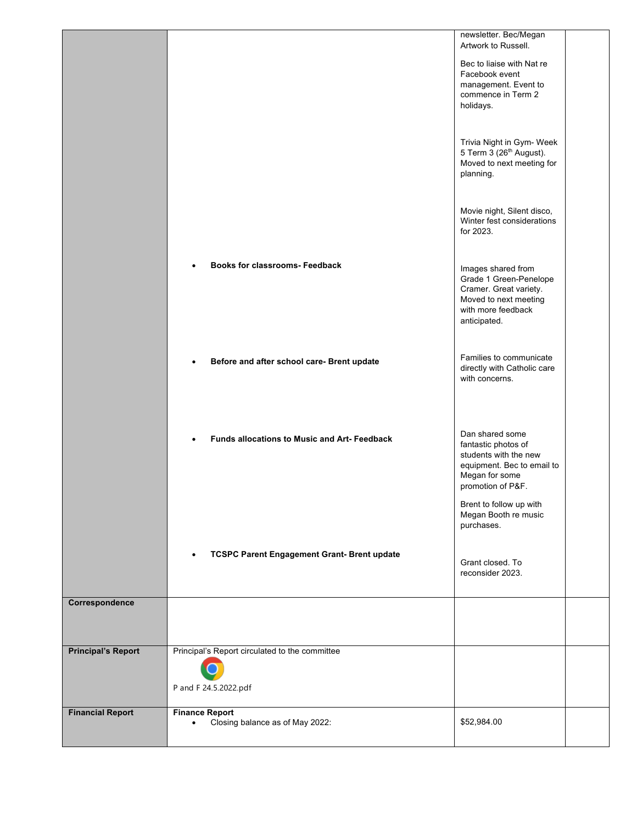|                           |                                                                         | newsletter. Bec/Megan                                                                                                                                           |  |
|---------------------------|-------------------------------------------------------------------------|-----------------------------------------------------------------------------------------------------------------------------------------------------------------|--|
|                           |                                                                         | Artwork to Russell.                                                                                                                                             |  |
|                           |                                                                         | Bec to liaise with Nat re<br>Facebook event<br>management. Event to<br>commence in Term 2<br>holidays.                                                          |  |
|                           |                                                                         | Trivia Night in Gym- Week<br>5 Term 3 (26 <sup>th</sup> August).<br>Moved to next meeting for<br>planning.                                                      |  |
|                           |                                                                         | Movie night, Silent disco,<br>Winter fest considerations<br>for 2023.                                                                                           |  |
|                           | <b>Books for classrooms- Feedback</b>                                   | Images shared from<br>Grade 1 Green-Penelope<br>Cramer. Great variety.<br>Moved to next meeting<br>with more feedback<br>anticipated.                           |  |
|                           | Before and after school care- Brent update                              | Families to communicate<br>directly with Catholic care<br>with concerns.                                                                                        |  |
|                           | <b>Funds allocations to Music and Art- Feedback</b>                     | Dan shared some<br>fantastic photos of<br>students with the new<br>equipment. Bec to email to<br>Megan for some<br>promotion of P&F.<br>Brent to follow up with |  |
|                           | <b>TCSPC Parent Engagement Grant- Brent update</b>                      | Megan Booth re music<br>purchases.<br>Grant closed. To<br>reconsider 2023.                                                                                      |  |
| Correspondence            |                                                                         |                                                                                                                                                                 |  |
| <b>Principal's Report</b> | Principal's Report circulated to the committee<br>P and F 24.5.2022.pdf |                                                                                                                                                                 |  |
| <b>Financial Report</b>   | <b>Finance Report</b><br>Closing balance as of May 2022:                | \$52,984.00                                                                                                                                                     |  |